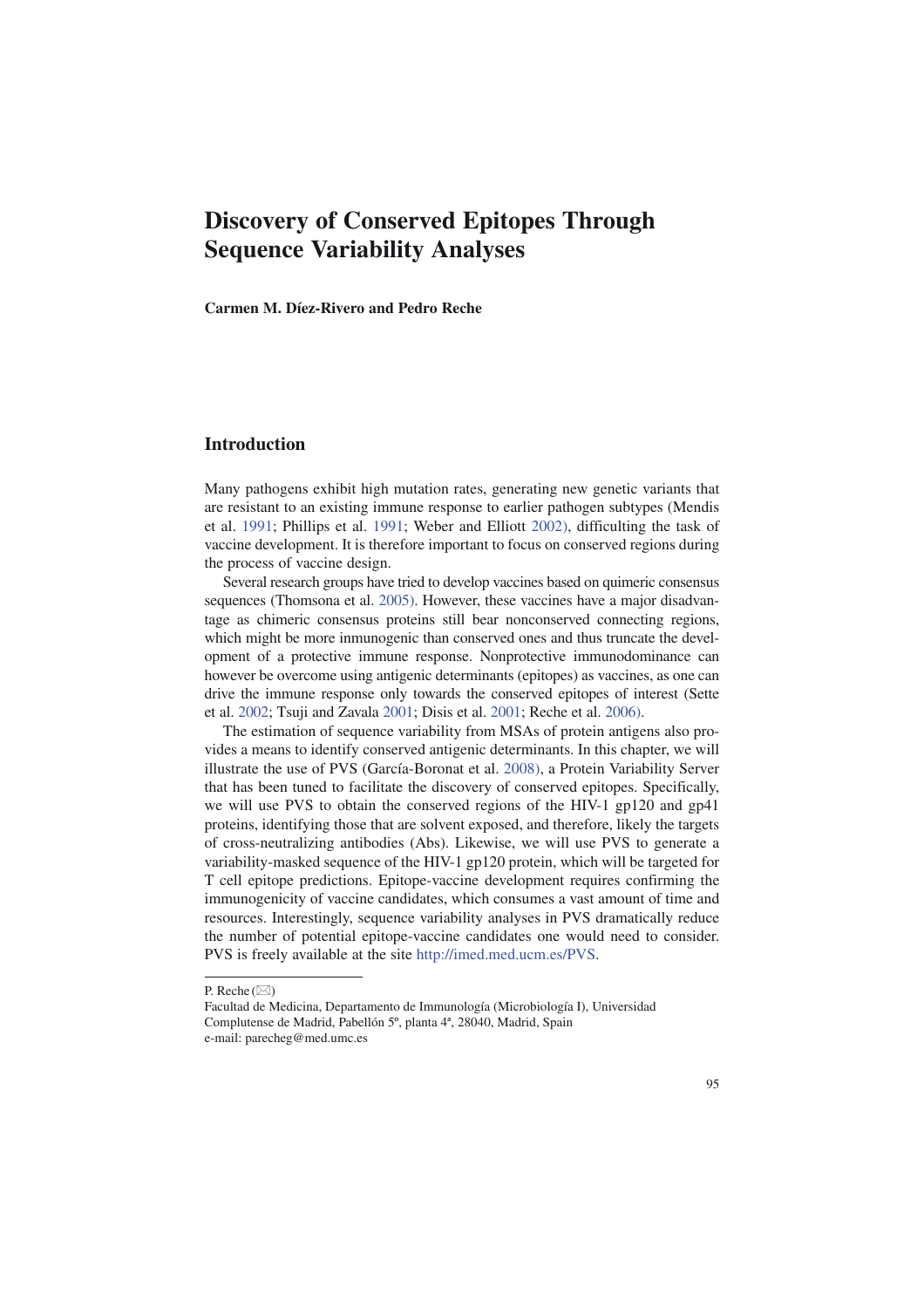# **Discovery of Conserved Epitopes Through Sequence Variability Analyses**

**Carmen M. Díez-Rivero and Pedro Reche**

# **Introduction**

Many pathogens exhibit high mutation rates, generating new genetic variants that are resistant to an existing immune response to earlier pathogen subtypes (Mendis et al. 1991; Phillips et al. 1991; Weber and Elliott 2002), difficulting the task of vaccine development. It is therefore important to focus on conserved regions during the process of vaccine design.

Several research groups have tried to develop vaccines based on quimeric consensus sequences (Thomsona et al. 2005). However, these vaccines have a major disadvantage as chimeric consensus proteins still bear nonconserved connecting regions, which might be more inmunogenic than conserved ones and thus truncate the development of a protective immune response. Nonprotective immunodominance can however be overcome using antigenic determinants (epitopes) as vaccines, as one can drive the immune response only towards the conserved epitopes of interest (Sette et al. 2002; Tsuji and Zavala 2001; Disis et al. 2001; Reche et al. 2006).

The estimation of sequence variability from MSAs of protein antigens also provides a means to identify conserved antigenic determinants. In this chapter, we will illustrate the use of PVS (García-Boronat et al. 2008), a Protein Variability Server that has been tuned to facilitate the discovery of conserved epitopes. Specifically, we will use PVS to obtain the conserved regions of the HIV-1 gp120 and gp41 proteins, identifying those that are solvent exposed, and therefore, likely the targets of cross-neutralizing antibodies (Abs). Likewise, we will use PVS to generate a variability-masked sequence of the HIV-1 gp120 protein, which will be targeted for T cell epitope predictions. Epitope-vaccine development requires confirming the immunogenicity of vaccine candidates, which consumes a vast amount of time and resources. Interestingly, sequence variability analyses in PVS dramatically reduce the number of potential epitope-vaccine candidates one would need to consider. PVS is freely available at the site http://imed.med.ucm.es/PVS.

P. Reche  $(\boxtimes)$ 

Facultad de Medicina, Departamento de Immunología (Microbiología I), Universidad Complutense de Madrid, Pabellón 5º, planta 4ª, 28040, Madrid, Spain e-mail: parecheg@med.umc.es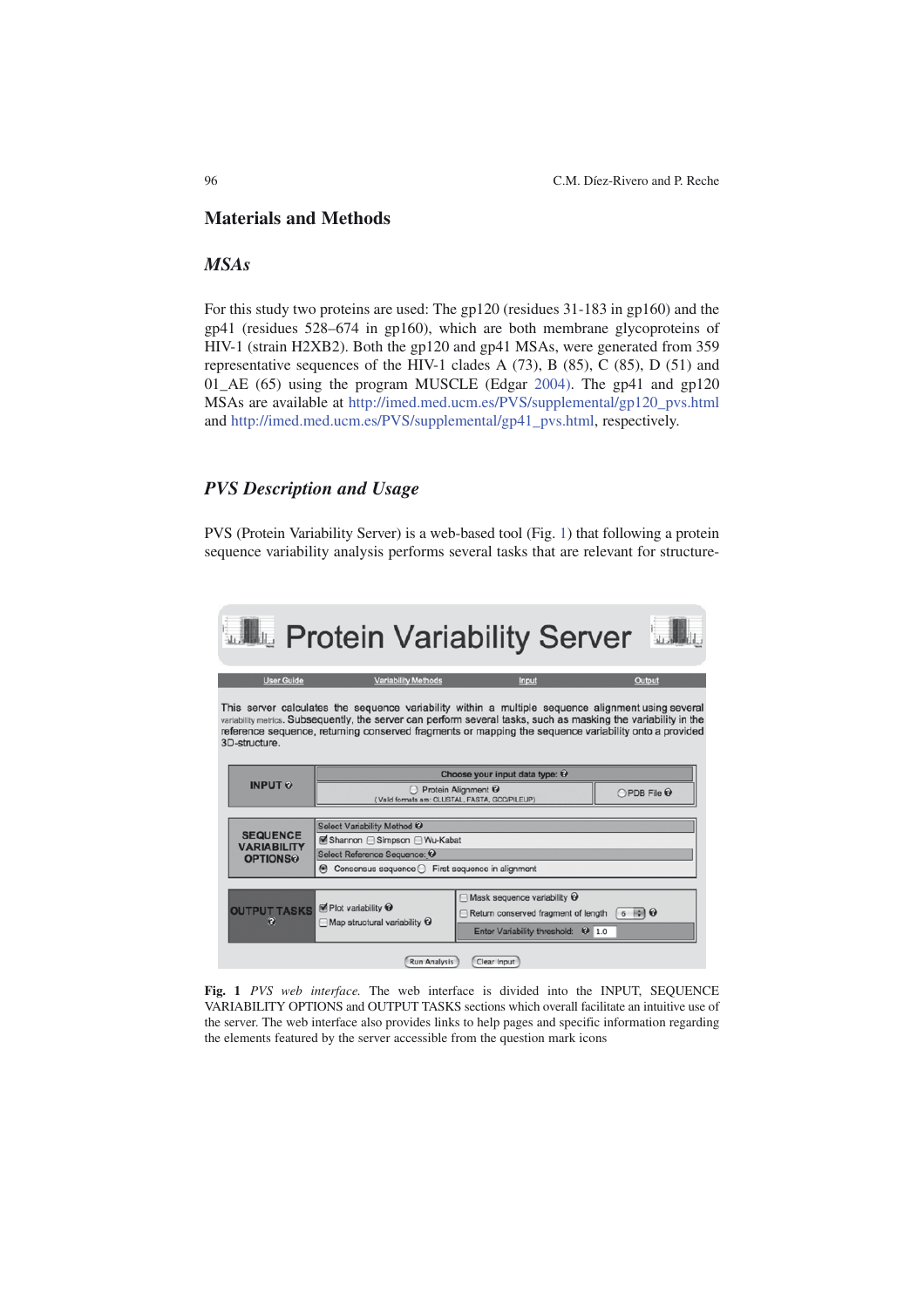## **Materials and Methods**

# *MSAs*

For this study two proteins are used: The gp120 (residues 31-183 in gp160) and the gp41 (residues 528–674 in gp160), which are both membrane glycoproteins of HIV-1 (strain H2XB2). Both the gp120 and gp41 MSAs, were generated from 359 representative sequences of the HIV-1 clades A (73), B (85), C (85), D (51) and 01 AE (65) using the program MUSCLE (Edgar 2004). The gp41 and gp120 MSAs are available at http://imed.med.ucm.es/PVS/supplemental/gp120\_pvs.html and http://imed.med.ucm.es/PVS/supplemental/gp41\_pvs.html, respectively.

# *PVS Description and Usage*

PVS (Protein Variability Server) is a web-based tool (Fig. 1) that following a protein sequence variability analysis performs several tasks that are relevant for structure-



**Fig. 1** *PVS web interface.* The web interface is divided into the INPUT, SEQUENCE VARIABILITY OPTIONS and OUTPUT TASKS sections which overall facilitate an intuitive use of the server. The web interface also provides links to help pages and specific information regarding the elements featured by the server accessible from the question mark icons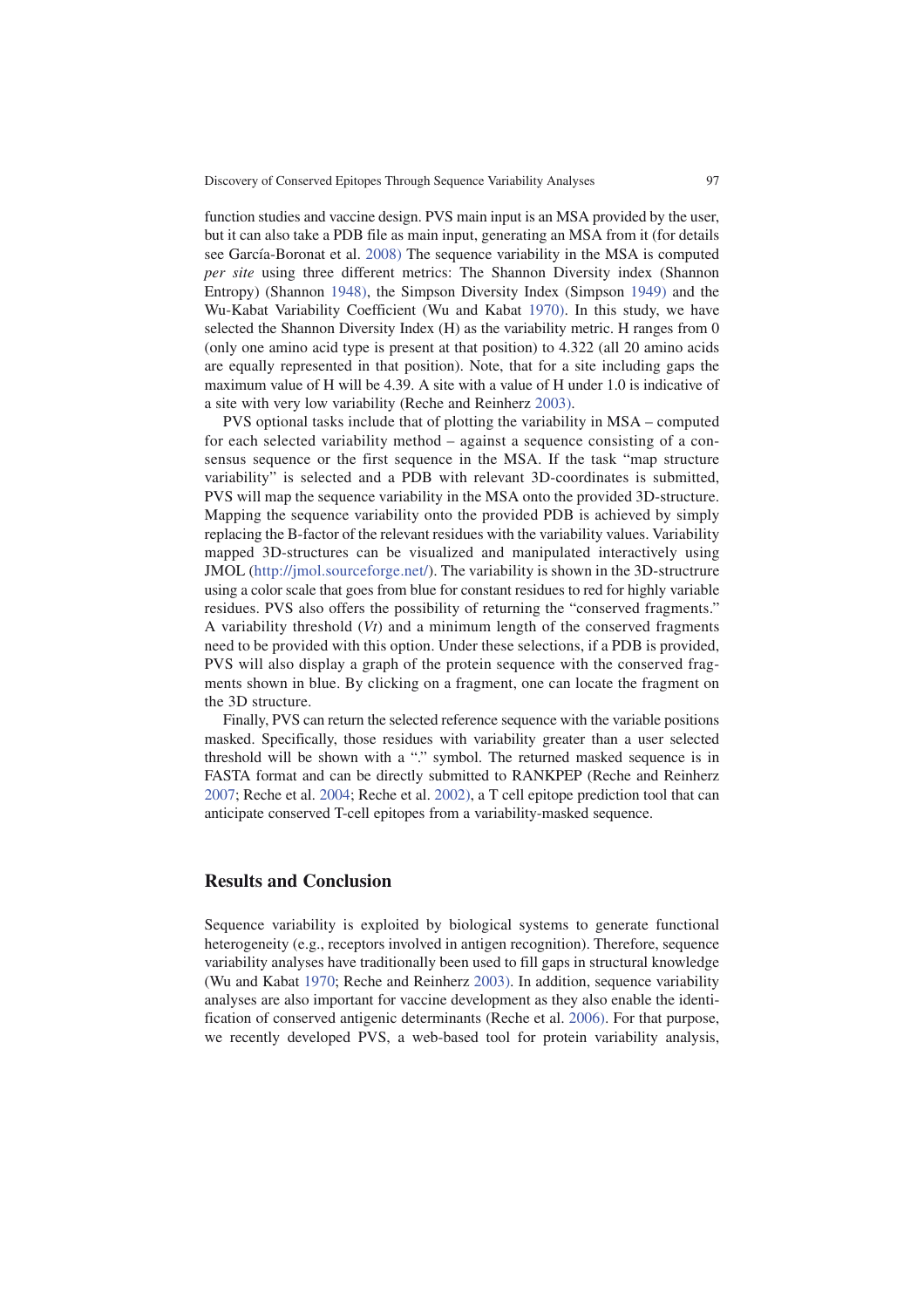function studies and vaccine design. PVS main input is an MSA provided by the user, but it can also take a PDB file as main input, generating an MSA from it (for details see García-Boronat et al. 2008) The sequence variability in the MSA is computed *per site* using three different metrics: The Shannon Diversity index (Shannon Entropy) (Shannon 1948), the Simpson Diversity Index (Simpson 1949) and the Wu-Kabat Variability Coefficient (Wu and Kabat 1970). In this study, we have selected the Shannon Diversity Index (H) as the variability metric. H ranges from 0 (only one amino acid type is present at that position) to 4.322 (all 20 amino acids are equally represented in that position). Note, that for a site including gaps the maximum value of H will be 4.39. A site with a value of H under 1.0 is indicative of a site with very low variability (Reche and Reinherz 2003).

PVS optional tasks include that of plotting the variability in MSA – computed for each selected variability method – against a sequence consisting of a consensus sequence or the first sequence in the MSA. If the task "map structure variability" is selected and a PDB with relevant 3D-coordinates is submitted, PVS will map the sequence variability in the MSA onto the provided 3D-structure. Mapping the sequence variability onto the provided PDB is achieved by simply replacing the B-factor of the relevant residues with the variability values. Variability mapped 3D-structures can be visualized and manipulated interactively using JMOL (http://jmol.sourceforge.net/). The variability is shown in the 3D-structrure using a color scale that goes from blue for constant residues to red for highly variable residues. PVS also offers the possibility of returning the "conserved fragments." A variability threshold (*Vt*) and a minimum length of the conserved fragments need to be provided with this option. Under these selections, if a PDB is provided, PVS will also display a graph of the protein sequence with the conserved fragments shown in blue. By clicking on a fragment, one can locate the fragment on the 3D structure.

Finally, PVS can return the selected reference sequence with the variable positions masked. Specifically, those residues with variability greater than a user selected threshold will be shown with a "." symbol. The returned masked sequence is in FASTA format and can be directly submitted to RANKPEP (Reche and Reinherz 2007; Reche et al. 2004; Reche et al. 2002), a T cell epitope prediction tool that can anticipate conserved T-cell epitopes from a variability-masked sequence.

## **Results and Conclusion**

Sequence variability is exploited by biological systems to generate functional heterogeneity (e.g., receptors involved in antigen recognition). Therefore, sequence variability analyses have traditionally been used to fill gaps in structural knowledge (Wu and Kabat 1970; Reche and Reinherz 2003). In addition, sequence variability analyses are also important for vaccine development as they also enable the identification of conserved antigenic determinants (Reche et al. 2006). For that purpose, we recently developed PVS, a web-based tool for protein variability analysis,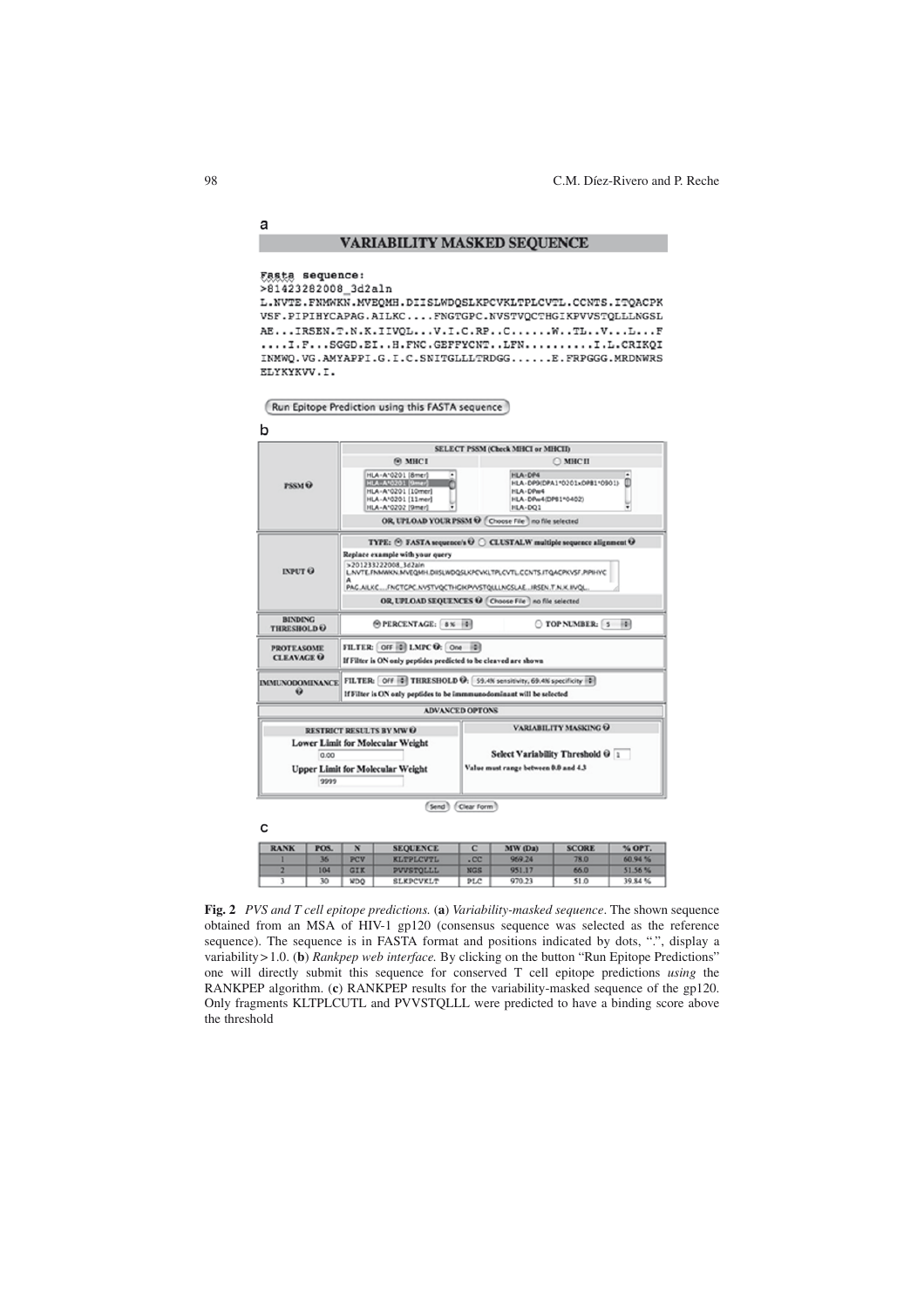#### **VARIABILITY MASKED SEQUENCE**

#### Fasta sequence:

>81423282008 3d2aln

L. NVTE. FNMWKN. MVEQMH. DIISLWDQSLKPCVKLTPLCVTL. CCNTS. ITQACPK VSF.PIPIHYCAPAG.AILKC....FNGTGPC.NVSTVQCTHGIKPVVSTQLLLNGSL AE...IRSEN.T.N.K.IIVQL...V.I.C.RP..C......W..TL..V...L...F ....I.F...SGGD.EI..H.FNC.GEFFYCNT..LFN..........I.L.CRIKQI INMWQ.VG.AMYAPPI.G.I.C.SNITGLLLTRDGG......E.FRPGGG.MRDNWRS ELYKYKVV.I.

Run Epitope Prediction using this FASTA sequence



 $\mathbf{c}$ 

a



(Send) (Clear Form)

| <b>RANK</b> | POS. |            | <b>SEQUENCE</b>  |                  | MW (Da) | <b>SCORE</b> | % OPT.  |
|-------------|------|------------|------------------|------------------|---------|--------------|---------|
|             | 36   | PCV        | <b>KLTPLCVTL</b> | .00 <sub>1</sub> | 969.24  | 78.0         | 60.94 % |
|             | 104  | GIK        | PVVSTOLLL        | <b>NGS</b>       | 951.17  | 66.0         | 51.56%  |
|             | 30   | <b>WDQ</b> | <b>SLKPCVKLT</b> | PLC              | 970.23  | 51.0         | 39.84 % |

**Fig. 2** *PVS and T cell epitope predictions.* (**a**) *Variability-masked sequence*. The shown sequence obtained from an MSA of HIV-1 gp120 (consensus sequence was selected as the reference sequence). The sequence is in FASTA format and positions indicated by dots, ".", display a variability>1.0. (**b**) *Rankpep web interface.* By clicking on the button "Run Epitope Predictions" one will directly submit this sequence for conserved T cell epitope predictions *using* the RANKPEP algorithm. (**c**) RANKPEP results for the variability-masked sequence of the gp120. Only fragments KLTPLCUTL and PVVSTQLLL were predicted to have a binding score above the threshold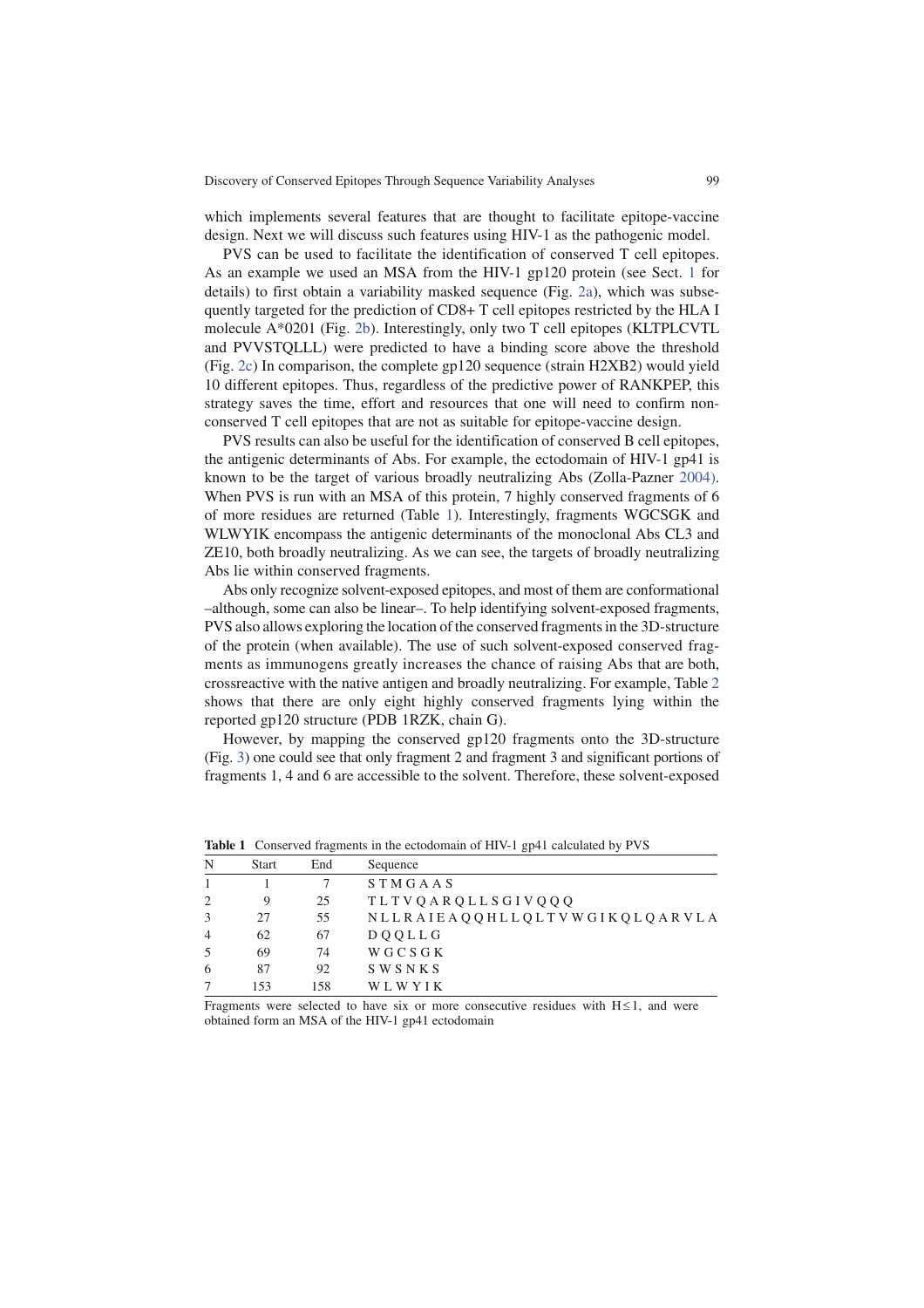Discovery of Conserved Epitopes Through Sequence Variability Analyses 99

which implements several features that are thought to facilitate epitope-vaccine design. Next we will discuss such features using HIV-1 as the pathogenic model.

PVS can be used to facilitate the identification of conserved T cell epitopes. As an example we used an MSA from the HIV-1 gp120 protein (see Sect. 1 for details) to first obtain a variability masked sequence (Fig. 2a), which was subsequently targeted for the prediction of CD8+ T cell epitopes restricted by the HLA I molecule A\*0201 (Fig. 2b). Interestingly, only two T cell epitopes (KLTPLCVTL and PVVSTQLLL) were predicted to have a binding score above the threshold (Fig. 2c) In comparison, the complete gp120 sequence (strain H2XB2) would yield 10 different epitopes. Thus, regardless of the predictive power of RANKPEP, this strategy saves the time, effort and resources that one will need to confirm nonconserved T cell epitopes that are not as suitable for epitope-vaccine design.

PVS results can also be useful for the identification of conserved B cell epitopes, the antigenic determinants of Abs. For example, the ectodomain of HIV-1 gp41 is known to be the target of various broadly neutralizing Abs (Zolla-Pazner 2004). When PVS is run with an MSA of this protein, 7 highly conserved fragments of 6 of more residues are returned (Table 1). Interestingly, fragments WGCSGK and WLWYIK encompass the antigenic determinants of the monoclonal Abs CL3 and ZE10, both broadly neutralizing. As we can see, the targets of broadly neutralizing Abs lie within conserved fragments.

Abs only recognize solvent-exposed epitopes, and most of them are conformational –although, some can also be linear–. To help identifying solvent-exposed fragments, PVS also allows exploring the location ofthe conserved fragmentsin the 3D-structure of the protein (when available). The use of such solvent-exposed conserved fragments as immunogens greatly increases the chance of raising Abs that are both, crossreactive with the native antigen and broadly neutralizing. For example, Table 2 shows that there are only eight highly conserved fragments lying within the reported gp120 structure (PDB 1RZK, chain G).

However, by mapping the conserved gp120 fragments onto the 3D-structure (Fig. 3) one could see that only fragment 2 and fragment 3 and significant portions of fragments 1, 4 and 6 are accessible to the solvent. Therefore, these solvent-exposed

| N                        | <b>Start</b> | End | Sequence                      |
|--------------------------|--------------|-----|-------------------------------|
|                          |              |     | STMGAAS                       |
| $\overline{2}$           |              | 25  | TLTVQARQLLSGIVQQQ             |
| 3                        | 27           | 55  | NLLRAIEAQQHLLQLTVWGIKQLQARVLA |
| $\overline{4}$           | 62           | 67  | <b>DOOLLG</b>                 |
| 5                        | 69           | 74  | <b>WGCSGK</b>                 |
| 6                        | 87           | 92  | SWSNKS                        |
|                          | 153          | 158 | WLWYIK                        |
| $\overline{\phantom{0}}$ |              | .   | $\cdot$ $\cdot$<br>. .        |

**Table 1** Conserved fragments in the ectodomain of HIV-1 gp41 calculated by PVS

Fragments were selected to have six or more consecutive residues with  $H \leq 1$ , and were obtained form an MSA of the HIV-1 gp41 ectodomain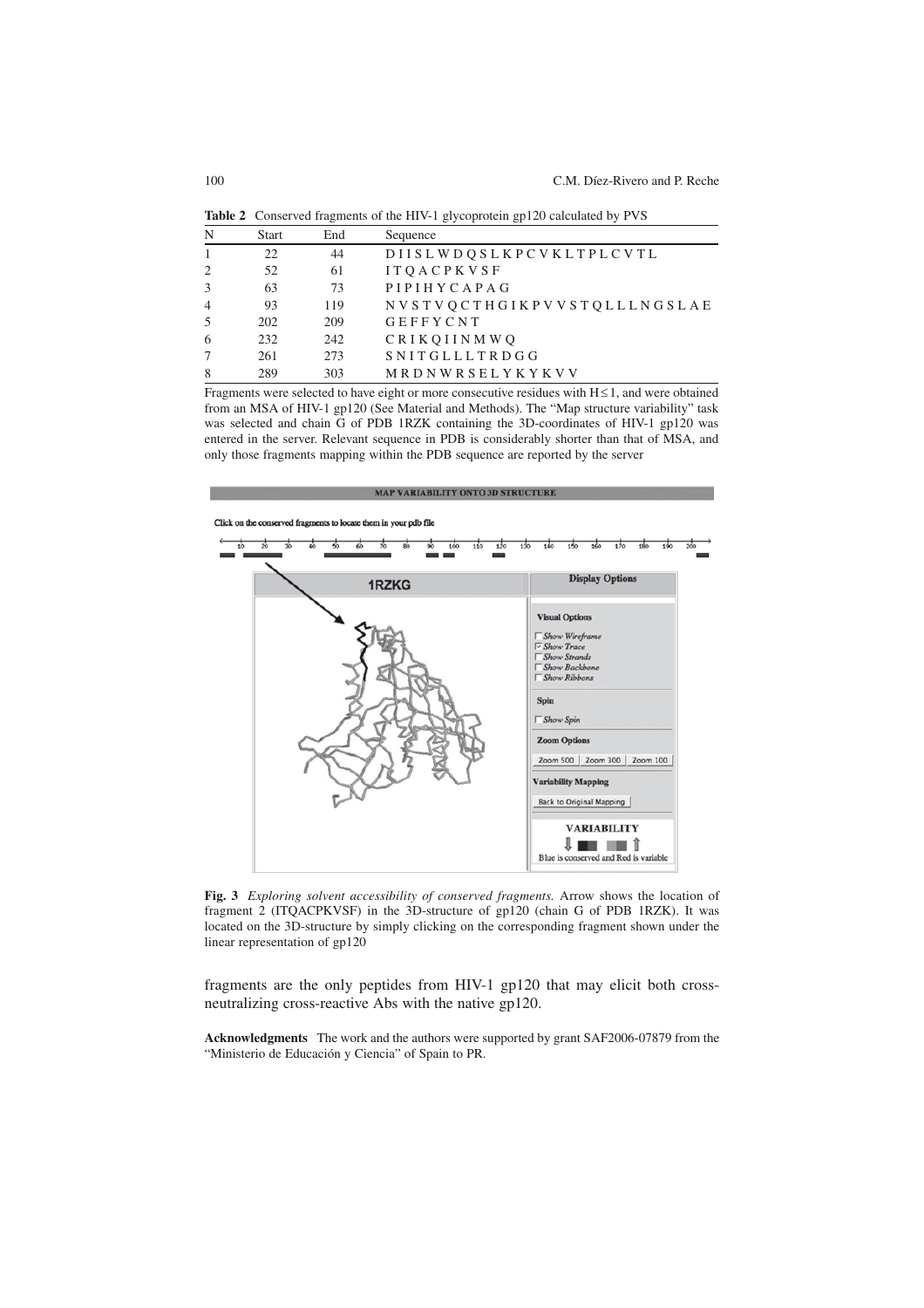|                |              |     | $\sigma$ r                  |
|----------------|--------------|-----|-----------------------------|
| N              | <b>Start</b> | End | Sequence                    |
| $\mathbf{1}$   | 22           | 44  | DIISLWDOSLKPCVKLTPLCVTL     |
| 2              | 52           | 61  | <b>ITOACPKVSF</b>           |
| 3              | 63           | 73  | PIPIHYCAPAG                 |
| $\overline{4}$ | 93           | 119 | NVSTVOCTHGIKPVVSTOLLLNGSLAE |
| .5             | 202          | 209 | GEFFYCNT                    |
| 6              | 232          | 242 | <b>CRIKOIINMWO</b>          |
| 7              | 261          | 273 | SNITGLLLTRDGG               |
| 8              | 289          | 303 | MRDNWRSELYKYKVV             |
|                |              |     |                             |

**Table 2** Conserved fragments of the HIV-1 glycoprotein gp120 calculated by PVS

Fragments were selected to have eight or more consecutive residues with  $H \leq 1$ , and were obtained from an MSA of HIV-1 gp120 (See Material and Methods). The "Map structure variability" task was selected and chain G of PDB 1RZK containing the 3D-coordinates of HIV-1 gp120 was entered in the server. Relevant sequence in PDB is considerably shorter than that of MSA, and only those fragments mapping within the PDB sequence are reported by the server



**Fig. 3** *Exploring solvent accessibility of conserved fragments.* Arrow shows the location of fragment 2 (ITQACPKVSF) in the 3D-structure of gp120 (chain G of PDB 1RZK). It was located on the 3D-structure by simply clicking on the corresponding fragment shown under the linear representation of gp120

fragments are the only peptides from HIV-1 gp120 that may elicit both crossneutralizing cross-reactive Abs with the native gp120.

**Acknowledgments** The work and the authors were supported by grant SAF2006-07879 from the "Ministerio de Educación y Ciencia" of Spain to PR.